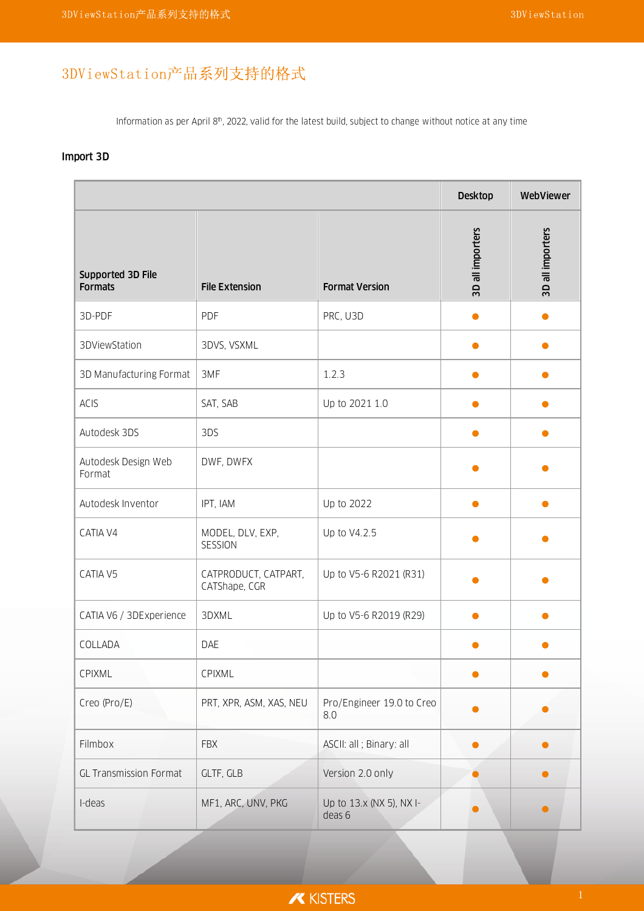# 3DViewStation产品系列支持的格式

Information as per April 8<sup>th</sup>, 2022, valid for the latest build, subject to change without notice at any time

### Import 3D

|                                     |                                       |                                    | <b>Desktop</b>   | WebViewer        |
|-------------------------------------|---------------------------------------|------------------------------------|------------------|------------------|
| Supported 3D File<br><b>Formats</b> | <b>File Extension</b>                 | <b>Format Version</b>              | 3D all importers | 3D all importers |
| 3D-PDF                              | PDF                                   | PRC, U3D                           |                  |                  |
| 3DViewStation                       | 3DVS, VSXML                           |                                    |                  |                  |
| 3D Manufacturing Format             | 3MF                                   | 1.2.3                              |                  |                  |
| <b>ACIS</b>                         | SAT, SAB                              | Up to 2021 1.0                     | $\bullet$        | O                |
| Autodesk 3DS                        | 3DS                                   |                                    |                  |                  |
| Autodesk Design Web<br>Format       | DWF, DWFX                             |                                    |                  |                  |
| Autodesk Inventor                   | IPT, IAM                              | Up to 2022                         |                  |                  |
| CATIA V4                            | MODEL, DLV, EXP,<br>SESSION           | Up to V4.2.5                       |                  |                  |
| CATIA V5                            | CATPRODUCT, CATPART,<br>CATShape, CGR | Up to V5-6 R2021 (R31)             |                  |                  |
| CATIA V6 / 3DExperience             | 3DXML                                 | Up to V5-6 R2019 (R29)             |                  |                  |
| COLLADA                             | DAE                                   |                                    |                  |                  |
| CPIXML                              | CPIXML                                |                                    |                  |                  |
| Creo (Pro/E)                        | PRT, XPR, ASM, XAS, NEU               | Pro/Engineer 19.0 to Creo<br>8.0   |                  |                  |
| Filmbox                             | <b>FBX</b>                            | ASCII: all ; Binary: all           |                  |                  |
| <b>GL Transmission Format</b>       | GLTF, GLB                             | Version 2.0 only                   |                  |                  |
| I-deas                              | MF1, ARC, UNV, PKG                    | Up to 13.x (NX 5), NX I-<br>deas 6 |                  |                  |

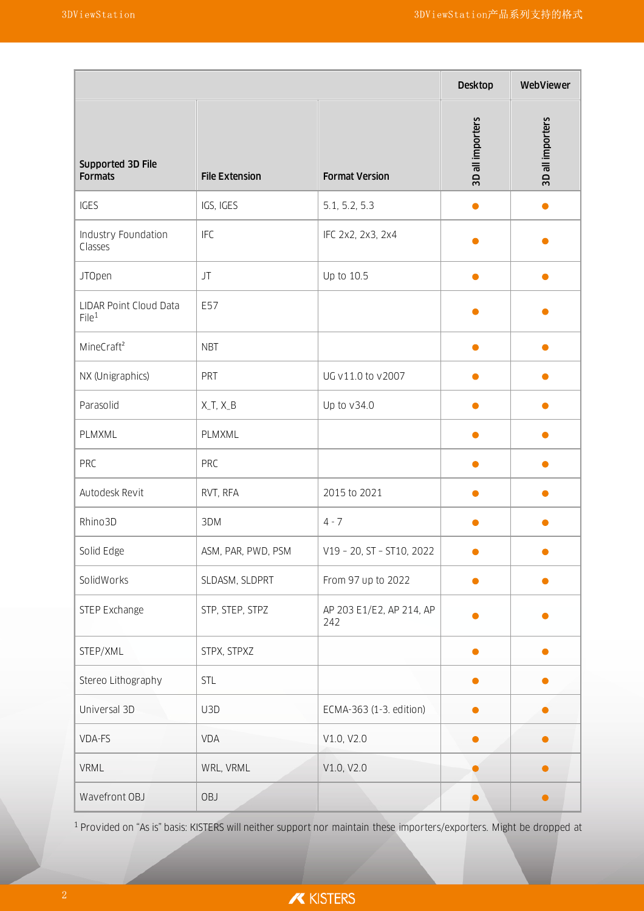|                                             |                       |                                 | <b>Desktop</b>   | WebViewer        |
|---------------------------------------------|-----------------------|---------------------------------|------------------|------------------|
| Supported 3D File<br><b>Formats</b>         | <b>File Extension</b> | <b>Format Version</b>           | 3D all importers | 3D all importers |
| IGES                                        | IGS, IGES             | 5.1, 5.2, 5.3                   |                  | $\bullet$        |
| Industry Foundation<br>Classes              | <b>IFC</b>            | IFC 2x2, 2x3, 2x4               |                  |                  |
| <b>JTOpen</b>                               | JT                    | Up to 10.5                      | 0                | O                |
| LIDAR Point Cloud Data<br>File <sup>1</sup> | E57                   |                                 |                  |                  |
| MineCraft <sup>2</sup>                      | <b>NBT</b>            |                                 |                  |                  |
| NX (Unigraphics)                            | PRT                   | UG v11.0 to v2007               |                  |                  |
| Parasolid                                   | $X_T, X_B$            | Up to v34.0                     |                  |                  |
| PLMXML                                      | PLMXML                |                                 |                  |                  |
| PRC                                         | PRC                   |                                 |                  |                  |
| Autodesk Revit                              | RVT, RFA              | 2015 to 2021                    |                  |                  |
| Rhino3D                                     | 3DM                   | $4 - 7$                         |                  |                  |
| Solid Edge                                  | ASM, PAR, PWD, PSM    | V19 - 20, ST - ST10, 2022       |                  |                  |
| SolidWorks                                  | SLDASM, SLDPRT        | From 97 up to 2022              |                  |                  |
| STEP Exchange                               | STP, STEP, STPZ       | AP 203 E1/E2, AP 214, AP<br>242 |                  |                  |
| STEP/XML                                    | STPX, STPXZ           |                                 |                  |                  |
| Stereo Lithography                          | STL                   |                                 |                  |                  |
| Universal 3D                                | U3D                   | ECMA-363 (1-3. edition)         |                  |                  |
| VDA-FS                                      | VDA                   | V1.0, V2.0                      | Ο                | $\bullet$        |
| VRML                                        | WRL, VRML             | V1.0, V2.0                      |                  | $\bullet$        |
| Wavefront OBJ                               | OBJ                   |                                 |                  | $\bullet$        |

<sup>1</sup> Provided on "As is" basis: KISTERS will neither support nor maintain these importers/exporters. Might be dropped at

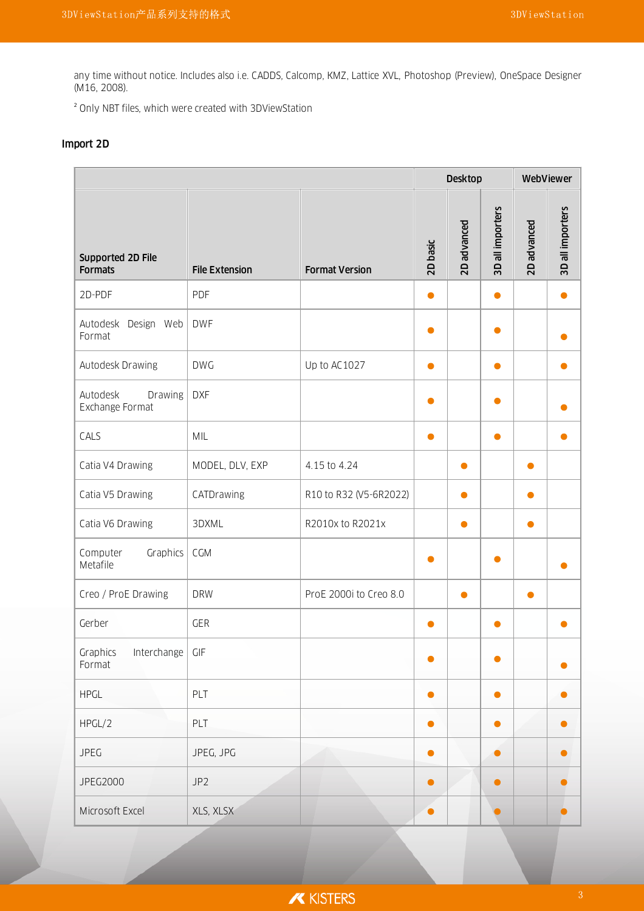any time without notice. Includes also i.e. CADDS, Calcomp, KMZ, Lattice XVL, Photoshop (Preview), OneSpace Designer (M16, 2008).

² Only NBT files, which were created with 3DViewStation

#### Import 2D

|                                         |                       |                        |           | <b>Desktop</b> |                  | WebViewer   |                  |
|-----------------------------------------|-----------------------|------------------------|-----------|----------------|------------------|-------------|------------------|
| Supported 2D File<br><b>Formats</b>     | <b>File Extension</b> | <b>Format Version</b>  | 2D basic  | 2D advanced    | 3D all importers | 2D advanced | 3D all importers |
| 2D-PDF                                  | PDF                   |                        | $\bullet$ |                | $\bullet$        |             |                  |
| Autodesk Design Web<br>Format           | <b>DWF</b>            |                        | 0         |                |                  |             |                  |
| Autodesk Drawing                        | <b>DWG</b>            | Up to AC1027           | $\bullet$ |                | $\bullet$        |             |                  |
| Autodesk<br>Drawing<br>Exchange Format  | <b>DXF</b>            |                        | Ο         |                |                  |             |                  |
| CALS                                    | MIL                   |                        | $\bullet$ |                | $\bullet$        |             |                  |
| Catia V4 Drawing                        | MODEL, DLV, EXP       | 4.15 to 4.24           |           | $\bullet$      |                  |             |                  |
| Catia V5 Drawing                        | CATDrawing            | R10 to R32 (V5-6R2022) |           | $\bullet$      |                  | $\bullet$   |                  |
| Catia V6 Drawing                        | 3DXML                 | R2010x to R2021x       |           | ●              |                  |             |                  |
| Computer<br><b>Graphics</b><br>Metafile | CGM                   |                        | $\bullet$ |                |                  |             |                  |
| Creo / ProE Drawing                     | <b>DRW</b>            | ProE 2000i to Creo 8.0 |           | ●              |                  |             |                  |
| Gerber                                  | <b>GER</b>            |                        | $\bullet$ |                | $\bullet$        |             |                  |
| Graphics<br>Interchange<br>Format       | GIF                   |                        |           |                |                  |             |                  |
| <b>HPGL</b>                             | PLT                   |                        | $\bullet$ |                | $\bullet$        |             |                  |
| HPGL/2                                  | PLT                   |                        | $\bullet$ |                |                  |             |                  |
| <b>JPEG</b>                             | JPEG, JPG             |                        | $\bullet$ |                | $\bullet$        |             |                  |
| JPEG2000                                | JP <sub>2</sub>       |                        | $\bullet$ |                |                  |             |                  |
| Microsoft Excel                         | XLS, XLSX             |                        | $\bullet$ |                |                  |             |                  |

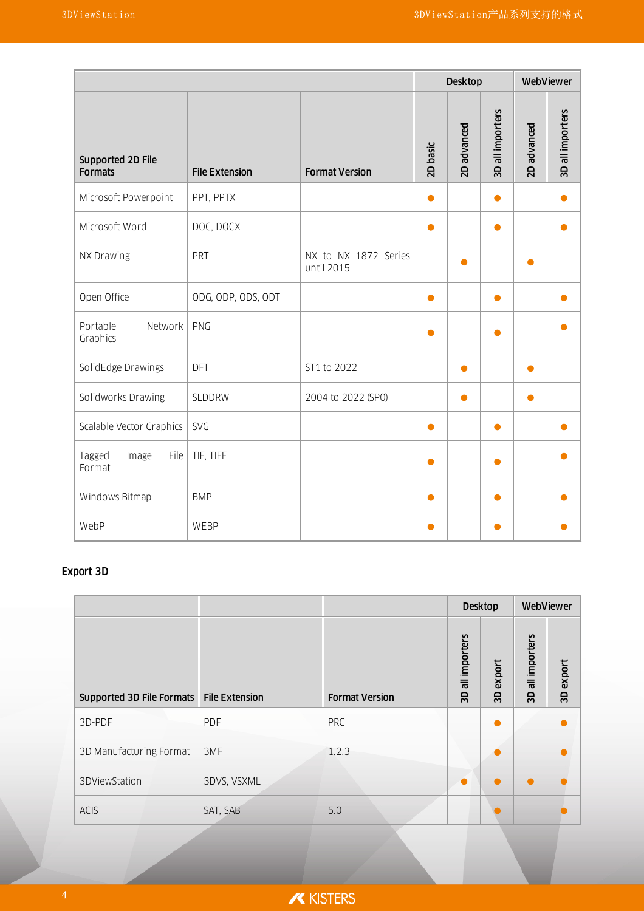|                                     |                       |                                    |           | <b>Desktop</b> |                  | WebViewer   |                  |
|-------------------------------------|-----------------------|------------------------------------|-----------|----------------|------------------|-------------|------------------|
| Supported 2D File<br><b>Formats</b> | <b>File Extension</b> | <b>Format Version</b>              | 2D basic  | 2D advanced    | 3D all importers | 2D advanced | 3D all importers |
| Microsoft Powerpoint                | PPT, PPTX             |                                    | $\bullet$ |                | ●                |             |                  |
| Microsoft Word                      | DOC, DOCX             |                                    | $\bullet$ |                | $\bullet$        |             |                  |
| NX Drawing                          | PRT                   | NX to NX 1872 Series<br>until 2015 |           | $\bullet$      |                  | ●           |                  |
| Open Office                         | ODG, ODP, ODS, ODT    |                                    | $\bullet$ |                |                  |             |                  |
| Network<br>Portable<br>Graphics     | PNG                   |                                    | $\bullet$ |                |                  |             |                  |
| SolidEdge Drawings                  | DFT                   | ST1 to 2022                        |           | $\bullet$      |                  |             |                  |
| Solidworks Drawing                  | SLDDRW                | 2004 to 2022 (SP0)                 |           | ●              |                  |             |                  |
| Scalable Vector Graphics            | <b>SVG</b>            |                                    | $\bullet$ |                | $\bullet$        |             |                  |
| Tagged<br>File<br>Image<br>Format   | TIF, TIFF             |                                    |           |                |                  |             |                  |
| Windows Bitmap                      | <b>BMP</b>            |                                    | $\bullet$ |                | $\bullet$        |             |                  |
| WebP                                | WEBP                  |                                    | $\bullet$ |                | o                |             |                  |

## Export 3D

|                                            |             |                       | <b>Desktop</b>                  |              | WebViewer           |           |
|--------------------------------------------|-------------|-----------------------|---------------------------------|--------------|---------------------|-----------|
| Supported 3D File Formats   File Extension |             | <b>Format Version</b> | all importers<br>$\overline{3}$ | export<br>GS | all importers<br>GS | 3D export |
| 3D-PDF                                     | PDF         | <b>PRC</b>            |                                 |              |                     |           |
| 3D Manufacturing Format                    | 3MF         | 1.2.3                 |                                 |              |                     |           |
| 3DViewStation                              | 3DVS, VSXML |                       | $\bullet$                       |              |                     |           |
| <b>ACIS</b>                                | SAT, SAB    | 5.0                   |                                 |              |                     |           |

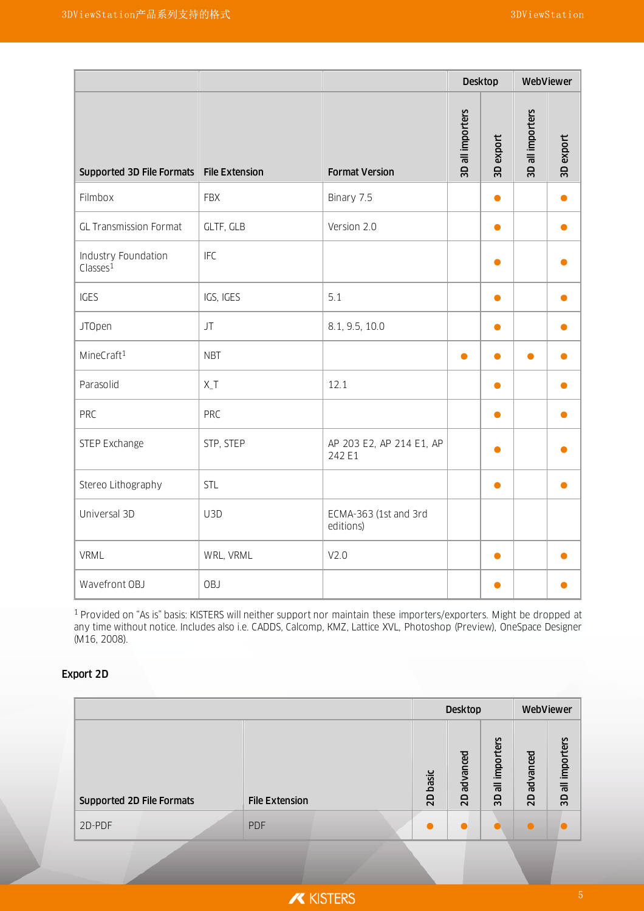|                                                |                       |                                    | <b>Desktop</b>   |           | WebViewer        |           |
|------------------------------------------------|-----------------------|------------------------------------|------------------|-----------|------------------|-----------|
| Supported 3D File Formats                      | <b>File Extension</b> | <b>Format Version</b>              | 3D all importers | 3D export | 3D all importers | 3D export |
| Filmbox                                        | <b>FBX</b>            | Binary 7.5                         |                  | $\bullet$ |                  |           |
| <b>GL Transmission Format</b>                  | GLTF, GLB             | Version 2.0                        |                  | $\bullet$ |                  |           |
| Industry Foundation<br>$Cl$ asses <sup>1</sup> | <b>IFC</b>            |                                    |                  |           |                  |           |
| <b>IGES</b>                                    | IGS, IGES             | 5.1                                |                  | $\bullet$ |                  |           |
| <b>JTOpen</b>                                  | JT                    | 8.1, 9.5, 10.0                     |                  | $\bullet$ |                  |           |
| MineCraft <sup>1</sup>                         | <b>NBT</b>            |                                    | $\bullet$        | $\bullet$ | $\bullet$        |           |
| Parasolid                                      | $X_T$                 | 12.1                               |                  | $\bullet$ |                  |           |
| <b>PRC</b>                                     | <b>PRC</b>            |                                    |                  | $\bullet$ |                  |           |
| STEP Exchange                                  | STP, STEP             | AP 203 E2, AP 214 E1, AP<br>242 E1 |                  | $\bullet$ |                  |           |
| Stereo Lithography                             | STL                   |                                    |                  | $\bullet$ |                  |           |
| Universal 3D                                   | U3D                   | ECMA-363 (1st and 3rd<br>editions) |                  |           |                  |           |
| VRML                                           | WRL, VRML             | V <sub>2.0</sub>                   |                  | $\bullet$ |                  |           |
| Wavefront OBJ                                  | OBJ                   |                                    |                  | $\bullet$ |                  |           |

<sup>1</sup> Provided on "As is" basis: KISTERS will neither support nor maintain these importers/exporters. Might be dropped at any time without notice. Includes also i.e. CADDS, Calcomp, KMZ, Lattice XVL, Photoshop (Preview), OneSpace Designer (M16, 2008).

#### Export 2D

|                           |                       |                    | <b>Desktop</b> |                           |                       | WebViewer                  |
|---------------------------|-----------------------|--------------------|----------------|---------------------------|-----------------------|----------------------------|
| Supported 2D File Formats | <b>File Extension</b> | basic<br><b>Q2</b> | advanced<br>QZ | all importers<br><b>G</b> | advanced<br><b>QZ</b> | all importers<br><b>GS</b> |
| 2D-PDF                    | <b>PDF</b>            |                    |                |                           |                       |                            |